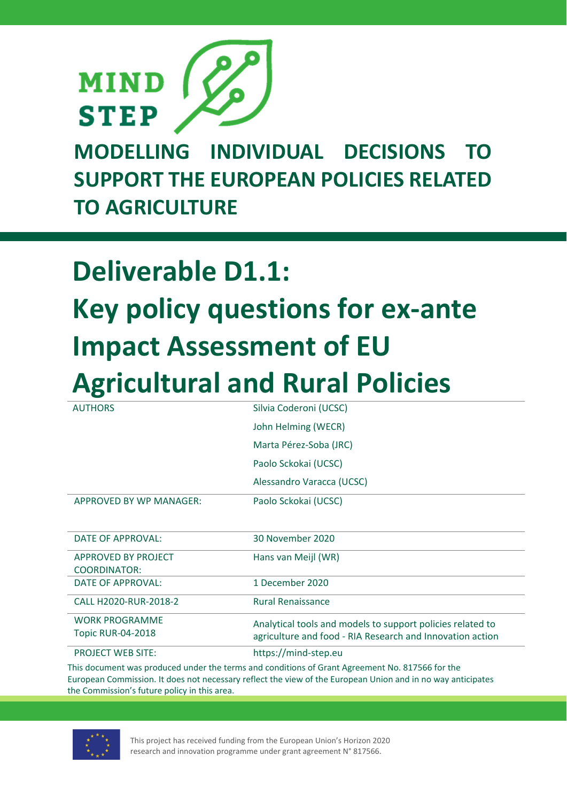

**MODELLING INDIVIDUAL DECISIONS TO SUPPORT THE EUROPEAN POLICIES RELATED TO AGRICULTURE** 

# **Deliverable D1.1: Key policy questions for ex‐ante Impact Assessment of EU Agricultural and Rural Policies**

| <b>AUTHORS</b>           | Silvia Coderoni (UCSC)                                     |  |  |  |
|--------------------------|------------------------------------------------------------|--|--|--|
|                          | John Helming (WECR)                                        |  |  |  |
|                          | Marta Pérez-Soba (JRC)                                     |  |  |  |
|                          | Paolo Sckokai (UCSC)                                       |  |  |  |
|                          | Alessandro Varacca (UCSC)                                  |  |  |  |
| APPROVED BY WP MANAGER:  | Paolo Sckokai (UCSC)                                       |  |  |  |
|                          |                                                            |  |  |  |
| <b>DATE OF APPROVAL:</b> | 30 November 2020                                           |  |  |  |
| APPROVED BY PROJECT      | Hans van Meijl (WR)                                        |  |  |  |
| <b>COORDINATOR:</b>      |                                                            |  |  |  |
| <b>DATE OF APPROVAL:</b> | 1 December 2020                                            |  |  |  |
| CALL H2020-RUR-2018-2    | <b>Rural Renaissance</b>                                   |  |  |  |
| <b>WORK PROGRAMME</b>    | Analytical tools and models to support policies related to |  |  |  |
| <b>Topic RUR-04-2018</b> | agriculture and food - RIA Research and Innovation action  |  |  |  |
| <b>PROJECT WEB SITE:</b> | https://mind-step.eu                                       |  |  |  |

This document was produced under the terms and conditions of Grant Agreement No. 817566 for the European Commission. It does not necessary reflect the view of the European Union and in no way anticipates the Commission's future policy in this area.



This project has received funding from the European Union's Horizon 2020 research and innovation programme under grant agreement N° 817566.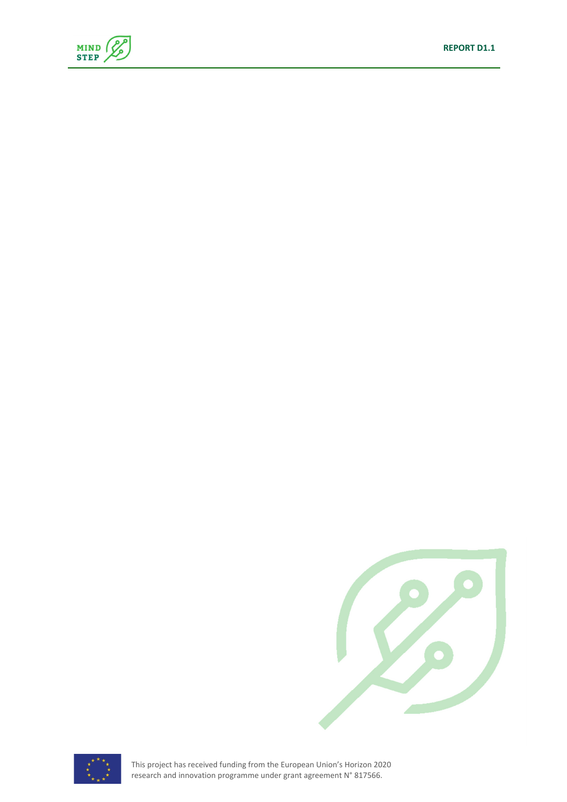







This project has received funding from the European Union's Horizon 2020 research and innovation programme under grant agreement N° 817566.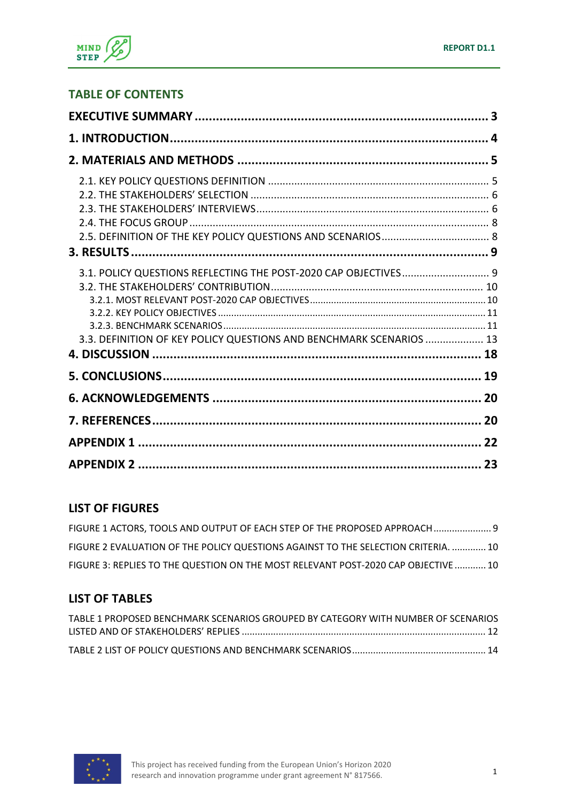

### **TABLE OF CONTENTS**

| 3.1. POLICY QUESTIONS REFLECTING THE POST-2020 CAP OBJECTIVES 9<br>3.3. DEFINITION OF KEY POLICY QUESTIONS AND BENCHMARK SCENARIOS  13 |  |
|----------------------------------------------------------------------------------------------------------------------------------------|--|
|                                                                                                                                        |  |
|                                                                                                                                        |  |
|                                                                                                                                        |  |
|                                                                                                                                        |  |
|                                                                                                                                        |  |

### **LIST OF FIGURES**

| FIGURE 1 ACTORS, TOOLS AND OUTPUT OF EACH STEP OF THE PROPOSED APPROACH  9         |  |
|------------------------------------------------------------------------------------|--|
| FIGURE 2 EVALUATION OF THE POLICY QUESTIONS AGAINST TO THE SELECTION CRITERIA.  10 |  |
| FIGURE 3: REPLIES TO THE QUESTION ON THE MOST RELEVANT POST-2020 CAP OBJECTIVE 10  |  |

### **LIST OF TABLES**

| TABLE 1 PROPOSED BENCHMARK SCENARIOS GROUPED BY CATEGORY WITH NUMBER OF SCENARIOS |  |
|-----------------------------------------------------------------------------------|--|
|                                                                                   |  |
|                                                                                   |  |

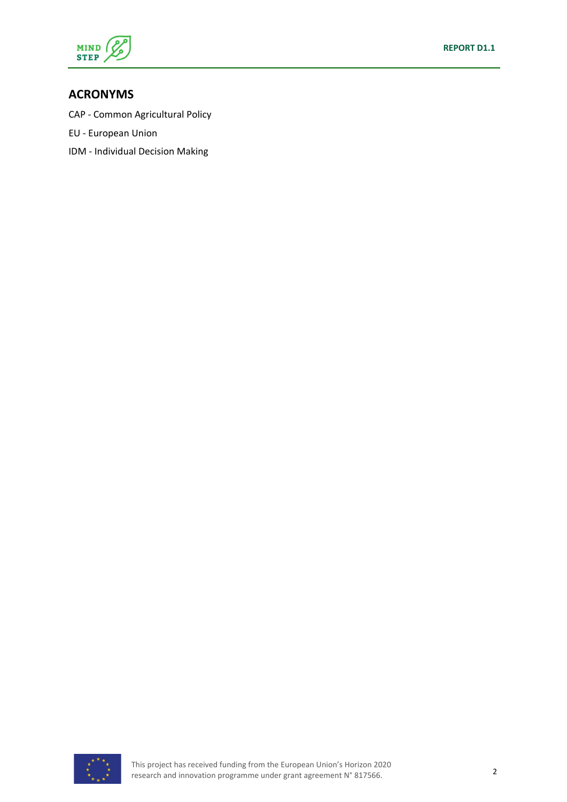

#### **ACRONYMS**

CAP ‐ Common Agricultural Policy

- EU ‐ European Union
- IDM ‐ Individual Decision Making

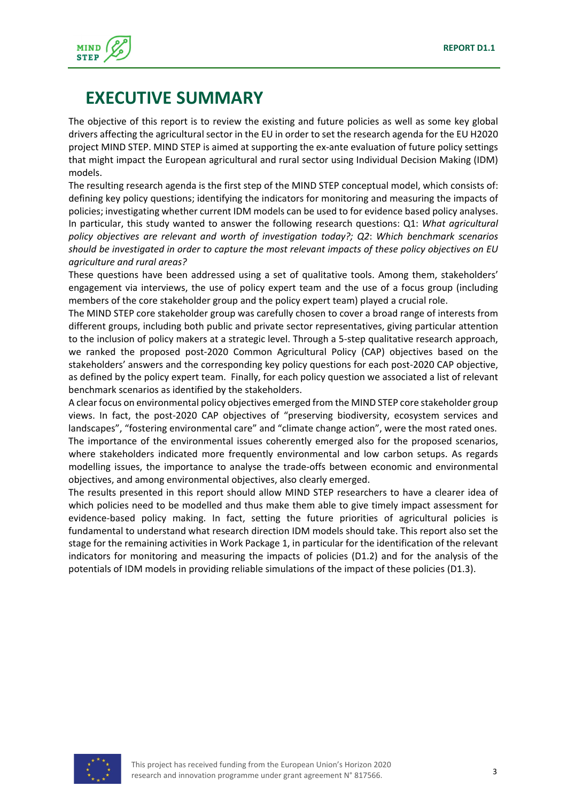

### **EXECUTIVE SUMMARY**

The objective of this report is to review the existing and future policies as well as some key global drivers affecting the agricultural sector in the EU in order to set the research agenda for the EU H2020 project MIND STEP. MIND STEP is aimed at supporting the ex-ante evaluation of future policy settings that might impact the European agricultural and rural sector using Individual Decision Making (IDM) models.

The resulting research agenda is the first step of the MIND STEP conceptual model, which consists of: defining key policy questions; identifying the indicators for monitoring and measuring the impacts of policies; investigating whether current IDM models can be used to for evidence based policy analyses. In particular, this study wanted to answer the following research questions: Q1: *What agricultural policy objectives are relevant and worth of investigation today?; Q2*: *Which benchmark scenarios should be investigated in order to capture the most relevant impacts of these policy objectives on EU agriculture and rural areas?*

These questions have been addressed using a set of qualitative tools. Among them, stakeholders' engagement via interviews, the use of policy expert team and the use of a focus group (including members of the core stakeholder group and the policy expert team) played a crucial role.

The MIND STEP core stakeholder group was carefully chosen to cover a broad range of interests from different groups, including both public and private sector representatives, giving particular attention to the inclusion of policy makers at a strategic level. Through a 5‐step qualitative research approach, we ranked the proposed post-2020 Common Agricultural Policy (CAP) objectives based on the stakeholders' answers and the corresponding key policy questions for each post‐2020 CAP objective, as defined by the policy expert team. Finally, for each policy question we associated a list of relevant benchmark scenarios as identified by the stakeholders.

A clear focus on environmental policy objectives emerged from the MIND STEP core stakeholder group views. In fact, the post‐2020 CAP objectives of "preserving biodiversity, ecosystem services and landscapes", "fostering environmental care" and "climate change action", were the most rated ones. The importance of the environmental issues coherently emerged also for the proposed scenarios, where stakeholders indicated more frequently environmental and low carbon setups. As regards modelling issues, the importance to analyse the trade‐offs between economic and environmental objectives, and among environmental objectives, also clearly emerged.

The results presented in this report should allow MIND STEP researchers to have a clearer idea of which policies need to be modelled and thus make them able to give timely impact assessment for evidence-based policy making. In fact, setting the future priorities of agricultural policies is fundamental to understand what research direction IDM models should take. This report also set the stage for the remaining activities in Work Package 1, in particular for the identification of the relevant indicators for monitoring and measuring the impacts of policies (D1.2) and for the analysis of the potentials of IDM models in providing reliable simulations of the impact of these policies (D1.3).

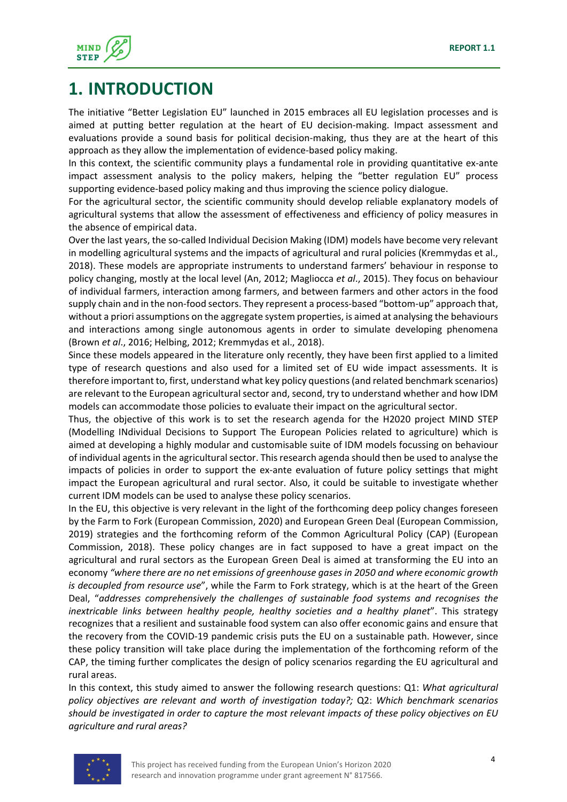

### **1. INTRODUCTION**

The initiative "Better Legislation EU" launched in 2015 embraces all EU legislation processes and is aimed at putting better regulation at the heart of EU decision-making. Impact assessment and evaluations provide a sound basis for political decision‐making, thus they are at the heart of this approach as they allow the implementation of evidence‐based policy making.

In this context, the scientific community plays a fundamental role in providing quantitative ex-ante impact assessment analysis to the policy makers, helping the "better regulation EU" process supporting evidence-based policy making and thus improving the science policy dialogue.

For the agricultural sector, the scientific community should develop reliable explanatory models of agricultural systems that allow the assessment of effectiveness and efficiency of policy measures in the absence of empirical data.

Over the last years, the so-called Individual Decision Making (IDM) models have become very relevant in modelling agricultural systems and the impacts of agricultural and rural policies (Kremmydas et al., 2018). These models are appropriate instruments to understand farmers' behaviour in response to policy changing, mostly at the local level (An, 2012; Magliocca *et al*., 2015). They focus on behaviour of individual farmers, interaction among farmers, and between farmers and other actors in the food supply chain and in the non-food sectors. They represent a process-based "bottom-up" approach that, without a priori assumptions on the aggregate system properties, is aimed at analysing the behaviours and interactions among single autonomous agents in order to simulate developing phenomena (Brown *et al*., 2016; Helbing, 2012; Kremmydas et al., 2018).

Since these models appeared in the literature only recently, they have been first applied to a limited type of research questions and also used for a limited set of EU wide impact assessments. It is therefore important to, first, understand what key policy questions(and related benchmark scenarios) are relevant to the European agricultural sector and, second, try to understand whether and how IDM models can accommodate those policies to evaluate their impact on the agricultural sector.

Thus, the objective of this work is to set the research agenda for the H2020 project MIND STEP (Modelling INdividual Decisions to Support The European Policies related to agriculture) which is aimed at developing a highly modular and customisable suite of IDM models focussing on behaviour of individual agents in the agricultural sector. This research agenda should then be used to analyse the impacts of policies in order to support the ex-ante evaluation of future policy settings that might impact the European agricultural and rural sector. Also, it could be suitable to investigate whether current IDM models can be used to analyse these policy scenarios.

In the EU, this objective is very relevant in the light of the forthcoming deep policy changes foreseen by the Farm to Fork (European Commission, 2020) and European Green Deal (European Commission, 2019) strategies and the forthcoming reform of the Common Agricultural Policy (CAP) (European Commission, 2018). These policy changes are in fact supposed to have a great impact on the agricultural and rural sectors as the European Green Deal is aimed at transforming the EU into an economy *"where there are no net emissions of greenhouse gases in 2050 and where economic growth is decoupled from resource use*", while the Farm to Fork strategy, which is at the heart of the Green Deal, "*addresses comprehensively the challenges of sustainable food systems and recognises the inextricable links between healthy people, healthy societies and a healthy planet*". This strategy recognizes that a resilient and sustainable food system can also offer economic gains and ensure that the recovery from the COVID‐19 pandemic crisis puts the EU on a sustainable path. However, since these policy transition will take place during the implementation of the forthcoming reform of the CAP, the timing further complicates the design of policy scenarios regarding the EU agricultural and rural areas.

In this context, this study aimed to answer the following research questions: Q1: *What agricultural policy objectives are relevant and worth of investigation today?;* Q2: *Which benchmark scenarios should be investigated in order to capture the most relevant impacts of these policy objectives on EU agriculture and rural areas?*

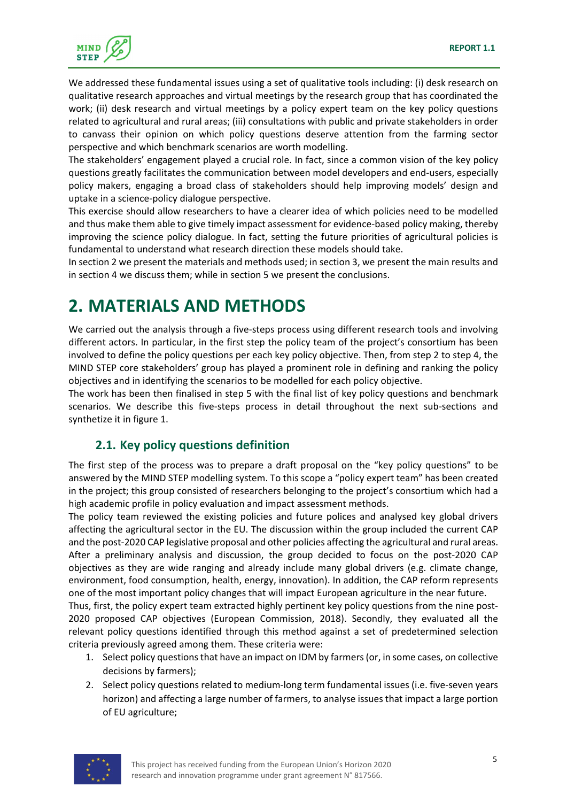

We addressed these fundamental issues using a set of qualitative tools including: (i) desk research on qualitative research approaches and virtual meetings by the research group that has coordinated the work; (ii) desk research and virtual meetings by a policy expert team on the key policy questions related to agricultural and rural areas; (iii) consultations with public and private stakeholders in order to canvass their opinion on which policy questions deserve attention from the farming sector perspective and which benchmark scenarios are worth modelling.

The stakeholders' engagement played a crucial role. In fact, since a common vision of the key policy questions greatly facilitates the communication between model developers and end‐users, especially policy makers, engaging a broad class of stakeholders should help improving models' design and uptake in a science‐policy dialogue perspective.

This exercise should allow researchers to have a clearer idea of which policies need to be modelled and thus make them able to give timely impact assessment for evidence-based policy making, thereby improving the science policy dialogue. In fact, setting the future priorities of agricultural policies is fundamental to understand what research direction these models should take.

In section 2 we present the materials and methods used; in section 3, we present the main results and in section 4 we discuss them; while in section 5 we present the conclusions.

# **2. MATERIALS AND METHODS**

We carried out the analysis through a five-steps process using different research tools and involving different actors. In particular, in the first step the policy team of the project's consortium has been involved to define the policy questions per each key policy objective. Then, from step 2 to step 4, the MIND STEP core stakeholders' group has played a prominent role in defining and ranking the policy objectives and in identifying the scenarios to be modelled for each policy objective.

The work has been then finalised in step 5 with the final list of key policy questions and benchmark scenarios. We describe this five-steps process in detail throughout the next sub-sections and synthetize it in figure 1.

### **2.1. Key policy questions definition**

The first step of the process was to prepare a draft proposal on the "key policy questions" to be answered by the MIND STEP modelling system. To this scope a "policy expert team" has been created in the project; this group consisted of researchers belonging to the project's consortium which had a high academic profile in policy evaluation and impact assessment methods.

The policy team reviewed the existing policies and future polices and analysed key global drivers affecting the agricultural sector in the EU. The discussion within the group included the current CAP and the post‐2020 CAP legislative proposal and other policies affecting the agricultural and rural areas. After a preliminary analysis and discussion, the group decided to focus on the post‐2020 CAP objectives as they are wide ranging and already include many global drivers (e.g. climate change, environment, food consumption, health, energy, innovation). In addition, the CAP reform represents one of the most important policy changes that will impact European agriculture in the near future.

Thus, first, the policy expert team extracted highly pertinent key policy questions from the nine post‐ 2020 proposed CAP objectives (European Commission, 2018). Secondly, they evaluated all the relevant policy questions identified through this method against a set of predetermined selection criteria previously agreed among them. These criteria were:

- 1. Select policy questions that have an impact on IDM by farmers (or, in some cases, on collective decisions by farmers);
- 2. Select policy questions related to medium-long term fundamental issues (i.e. five-seven years horizon) and affecting a large number of farmers, to analyse issues that impact a large portion of EU agriculture;

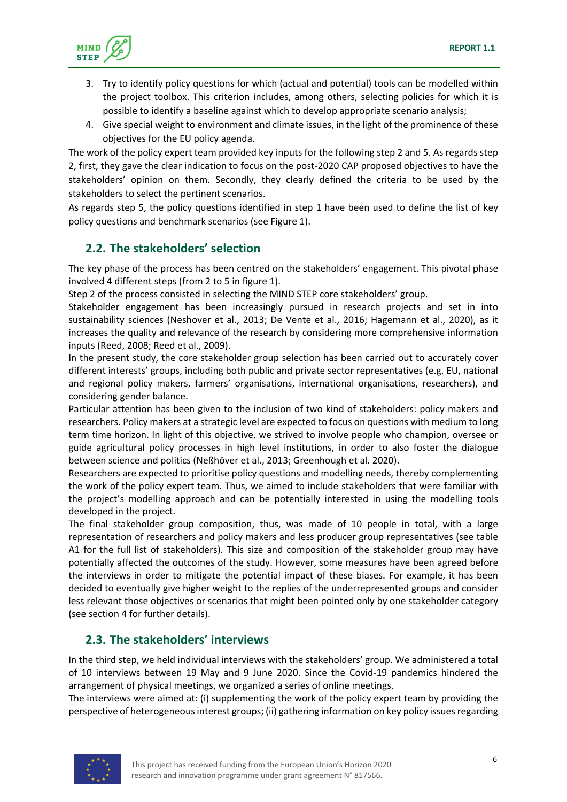

- 3. Try to identify policy questions for which (actual and potential) tools can be modelled within the project toolbox. This criterion includes, among others, selecting policies for which it is possible to identify a baseline against which to develop appropriate scenario analysis;
- 4. Give special weight to environment and climate issues, in the light of the prominence of these objectives for the EU policy agenda.

The work of the policy expert team provided key inputs for the following step 2 and 5. As regards step 2, first, they gave the clear indication to focus on the post‐2020 CAP proposed objectives to have the stakeholders' opinion on them. Secondly, they clearly defined the criteria to be used by the stakeholders to select the pertinent scenarios.

As regards step 5, the policy questions identified in step 1 have been used to define the list of key policy questions and benchmark scenarios (see Figure 1).

### **2.2. The stakeholders' selection**

The key phase of the process has been centred on the stakeholders' engagement. This pivotal phase involved 4 different steps (from 2 to 5 in figure 1).

Step 2 of the process consisted in selecting the MIND STEP core stakeholders' group.

Stakeholder engagement has been increasingly pursued in research projects and set in into sustainability sciences (Neshover et al., 2013; De Vente et al., 2016; Hagemann et al., 2020), as it increases the quality and relevance of the research by considering more comprehensive information inputs (Reed, 2008; Reed et al., 2009).

In the present study, the core stakeholder group selection has been carried out to accurately cover different interests' groups, including both public and private sector representatives (e.g. EU, national and regional policy makers, farmers' organisations, international organisations, researchers), and considering gender balance.

Particular attention has been given to the inclusion of two kind of stakeholders: policy makers and researchers. Policy makers at a strategic level are expected to focus on questions with medium to long term time horizon. In light of this objective, we strived to involve people who champion, oversee or guide agricultural policy processes in high level institutions, in order to also foster the dialogue between science and politics (Neßhöver et al., 2013; Greenhough et al. 2020).

Researchers are expected to prioritise policy questions and modelling needs, thereby complementing the work of the policy expert team. Thus, we aimed to include stakeholders that were familiar with the project's modelling approach and can be potentially interested in using the modelling tools developed in the project.

The final stakeholder group composition, thus, was made of 10 people in total, with a large representation of researchers and policy makers and less producer group representatives (see table A1 for the full list of stakeholders). This size and composition of the stakeholder group may have potentially affected the outcomes of the study. However, some measures have been agreed before the interviews in order to mitigate the potential impact of these biases. For example, it has been decided to eventually give higher weight to the replies of the underrepresented groups and consider less relevant those objectives or scenarios that might been pointed only by one stakeholder category (see section 4 for further details).

### **2.3. The stakeholders' interviews**

In the third step, we held individual interviews with the stakeholders' group. We administered a total of 10 interviews between 19 May and 9 June 2020. Since the Covid‐19 pandemics hindered the arrangement of physical meetings, we organized a series of online meetings.

The interviews were aimed at: (i) supplementing the work of the policy expert team by providing the perspective of heterogeneous interest groups; (ii) gathering information on key policy issues regarding

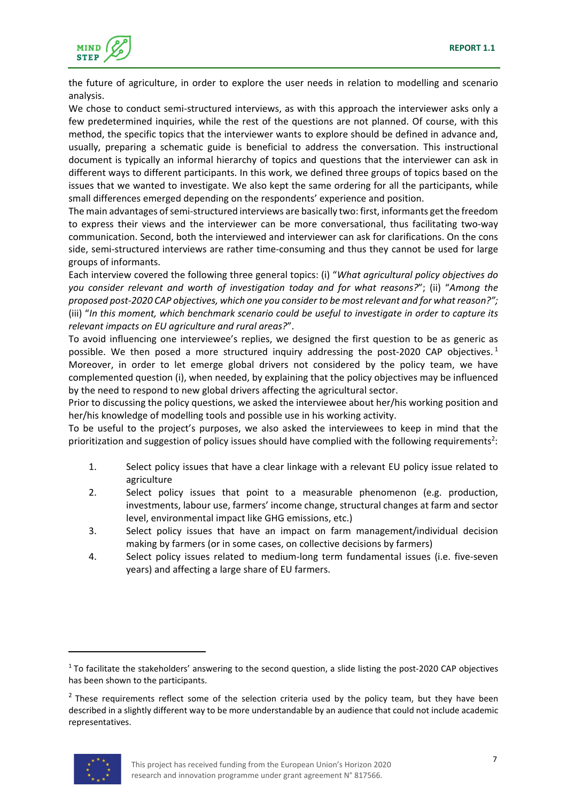

the future of agriculture, in order to explore the user needs in relation to modelling and scenario analysis.

We chose to conduct semi-structured interviews, as with this approach the interviewer asks only a few predetermined inquiries, while the rest of the questions are not planned. Of course, with this method, the specific topics that the interviewer wants to explore should be defined in advance and, usually, preparing a schematic guide is beneficial to address the conversation. This instructional document is typically an informal hierarchy of topics and questions that the interviewer can ask in different ways to different participants. In this work, we defined three groups of topics based on the issues that we wanted to investigate. We also kept the same ordering for all the participants, while small differences emerged depending on the respondents' experience and position.

The main advantages of semi-structured interviews are basically two: first, informants get the freedom to express their views and the interviewer can be more conversational, thus facilitating two‐way communication. Second, both the interviewed and interviewer can ask for clarifications. On the cons side, semi‐structured interviews are rather time‐consuming and thus they cannot be used for large groups of informants.

Each interview covered the following three general topics: (i) "*What agricultural policy objectives do you consider relevant and worth of investigation today and for what reasons?*"; (ii) "*Among the* proposed post-2020 CAP objectives, which one you consider to be most relevant and for what reason?"; (iii) "*In this moment, which benchmark scenario could be useful to investigate in order to capture its relevant impacts on EU agriculture and rural areas?*".

To avoid influencing one interviewee's replies, we designed the first question to be as generic as possible. We then posed a more structured inquiry addressing the post-2020 CAP objectives.<sup>1</sup> Moreover, in order to let emerge global drivers not considered by the policy team, we have complemented question (i), when needed, by explaining that the policy objectives may be influenced by the need to respond to new global drivers affecting the agricultural sector.

Prior to discussing the policy questions, we asked the interviewee about her/his working position and her/his knowledge of modelling tools and possible use in his working activity.

To be useful to the project's purposes, we also asked the interviewees to keep in mind that the prioritization and suggestion of policy issues should have complied with the following requirements<sup>2</sup>:

- 1. Select policy issues that have a clear linkage with a relevant EU policy issue related to agriculture
- 2. Select policy issues that point to a measurable phenomenon (e.g. production, investments, labour use, farmers' income change, structural changes at farm and sector level, environmental impact like GHG emissions, etc.)
- 3. Select policy issues that have an impact on farm management/individual decision making by farmers (or in some cases, on collective decisions by farmers)
- 4. Select policy issues related to medium-long term fundamental issues (i.e. five-seven years) and affecting a large share of EU farmers.

 $<sup>2</sup>$  These requirements reflect some of the selection criteria used by the policy team, but they have been</sup> described in a slightly different way to be more understandable by an audience that could not include academic representatives.



 $1$  To facilitate the stakeholders' answering to the second question, a slide listing the post-2020 CAP objectives has been shown to the participants.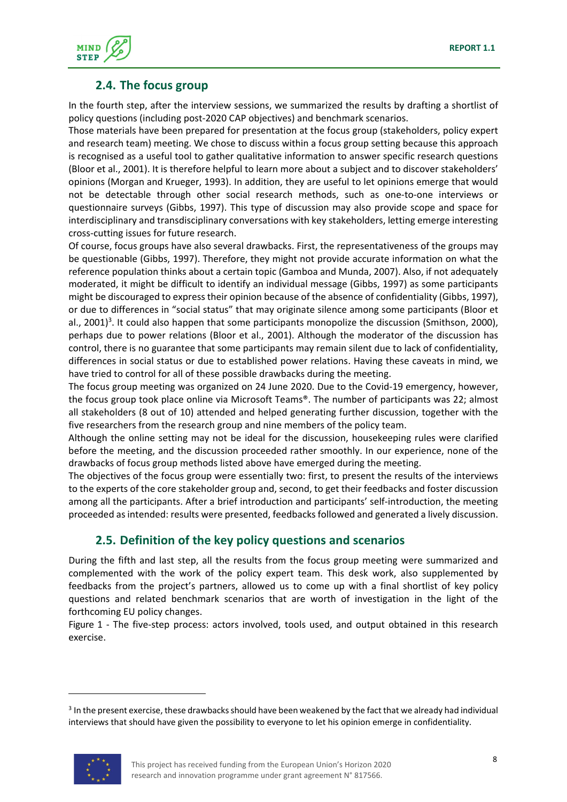

#### **2.4. The focus group**

In the fourth step, after the interview sessions, we summarized the results by drafting a shortlist of policy questions (including post‐2020 CAP objectives) and benchmark scenarios.

Those materials have been prepared for presentation at the focus group (stakeholders, policy expert and research team) meeting. We chose to discuss within a focus group setting because this approach is recognised as a useful tool to gather qualitative information to answer specific research questions (Bloor et al., 2001). It is therefore helpful to learn more about a subject and to discover stakeholders' opinions (Morgan and Krueger, 1993). In addition, they are useful to let opinions emerge that would not be detectable through other social research methods, such as one‐to‐one interviews or questionnaire surveys (Gibbs, 1997). This type of discussion may also provide scope and space for interdisciplinary and transdisciplinary conversations with key stakeholders, letting emerge interesting cross‐cutting issues for future research.

Of course, focus groups have also several drawbacks. First, the representativeness of the groups may be questionable (Gibbs, 1997). Therefore, they might not provide accurate information on what the reference population thinks about a certain topic (Gamboa and Munda, 2007). Also, if not adequately moderated, it might be difficult to identify an individual message (Gibbs, 1997) as some participants might be discouraged to expresstheir opinion because of the absence of confidentiality (Gibbs, 1997), or due to differences in "social status" that may originate silence among some participants (Bloor et al., 2001)<sup>3</sup>. It could also happen that some participants monopolize the discussion (Smithson, 2000), perhaps due to power relations (Bloor et al., 2001). Although the moderator of the discussion has control, there is no guarantee that some participants may remain silent due to lack of confidentiality, differences in social status or due to established power relations. Having these caveats in mind, we have tried to control for all of these possible drawbacks during the meeting.

The focus group meeting was organized on 24 June 2020. Due to the Covid‐19 emergency, however, the focus group took place online via Microsoft Teams®. The number of participants was 22; almost all stakeholders (8 out of 10) attended and helped generating further discussion, together with the five researchers from the research group and nine members of the policy team.

Although the online setting may not be ideal for the discussion, housekeeping rules were clarified before the meeting, and the discussion proceeded rather smoothly. In our experience, none of the drawbacks of focus group methods listed above have emerged during the meeting.

The objectives of the focus group were essentially two: first, to present the results of the interviews to the experts of the core stakeholder group and, second, to get their feedbacks and foster discussion among all the participants. After a brief introduction and participants' self-introduction, the meeting proceeded asintended: results were presented, feedbacksfollowed and generated a lively discussion.

#### **2.5. Definition of the key policy questions and scenarios**

During the fifth and last step, all the results from the focus group meeting were summarized and complemented with the work of the policy expert team. This desk work, also supplemented by feedbacks from the project's partners, allowed us to come up with a final shortlist of key policy questions and related benchmark scenarios that are worth of investigation in the light of the forthcoming EU policy changes.

Figure 1 - The five-step process: actors involved, tools used, and output obtained in this research exercise.

<sup>&</sup>lt;sup>3</sup> In the present exercise, these drawbacks should have been weakened by the fact that we already had individual interviews that should have given the possibility to everyone to let his opinion emerge in confidentiality.

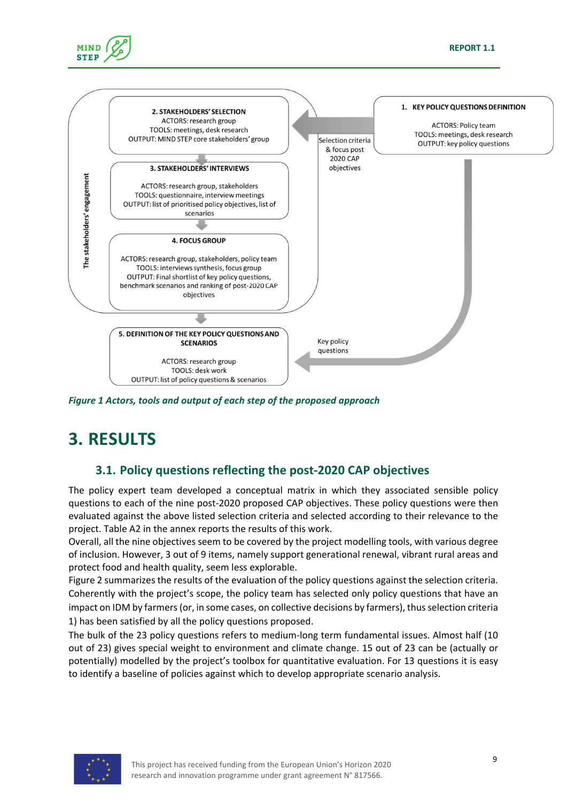

*Figure 1 Actors, tools and output of each step of the proposed approach*

# **3. RESULTS**

**MIND STEP** 

### **3.1. Policy questions reflecting the post‐2020 CAP objectives**

The policy expert team developed a conceptual matrix in which they associated sensible policy questions to each of the nine post‐2020 proposed CAP objectives. These policy questions were then evaluated against the above listed selection criteria and selected according to their relevance to the project. Table A2 in the annex reports the results of this work.

Overall, all the nine objectives seem to be covered by the project modelling tools, with various degree of inclusion. However, 3 out of 9 items, namely support generational renewal, vibrant rural areas and protect food and health quality, seem less explorable.

Figure 2 summarizes the results of the evaluation of the policy questions against the selection criteria. Coherently with the project's scope, the policy team has selected only policy questions that have an impact on IDM by farmers (or, in some cases, on collective decisions by farmers), thus selection criteria 1) has been satisfied by all the policy questions proposed.

The bulk of the 23 policy questions refers to medium‐long term fundamental issues. Almost half (10 out of 23) gives special weight to environment and climate change. 15 out of 23 can be (actually or potentially) modelled by the project's toolbox for quantitative evaluation. For 13 questions it is easy to identify a baseline of policies against which to develop appropriate scenario analysis.

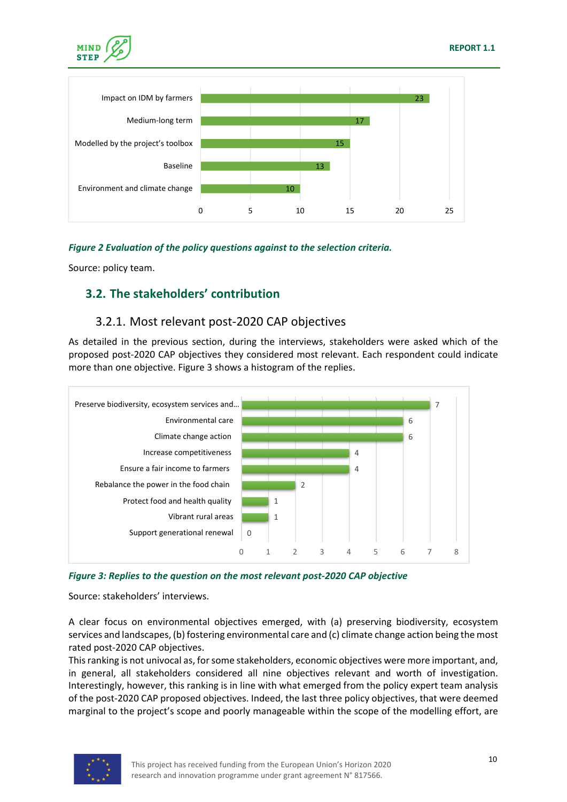



#### *Figure 2 Evaluation of the policy questions against to the selection criteria.*

Source: policy team.

#### **3.2. The stakeholders' contribution**

#### 3.2.1. Most relevant post‐2020 CAP objectives

As detailed in the previous section, during the interviews, stakeholders were asked which of the proposed post‐2020 CAP objectives they considered most relevant. Each respondent could indicate more than one objective. Figure 3 shows a histogram of the replies.



*Figure 3: Replies to the question on the most relevant post‐2020 CAP objective* 

Source: stakeholders' interviews.

A clear focus on environmental objectives emerged, with (a) preserving biodiversity, ecosystem services and landscapes, (b) fostering environmental care and (c) climate change action being the most rated post‐2020 CAP objectives.

This ranking is not univocal as, for some stakeholders, economic objectives were more important, and, in general, all stakeholders considered all nine objectives relevant and worth of investigation. Interestingly, however, this ranking is in line with what emerged from the policy expert team analysis of the post‐2020 CAP proposed objectives. Indeed, the last three policy objectives, that were deemed marginal to the project's scope and poorly manageable within the scope of the modelling effort, are

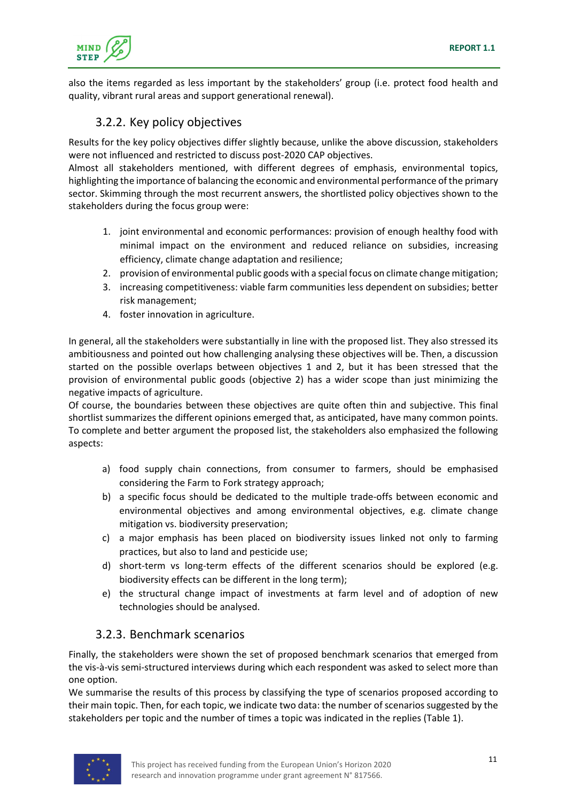

also the items regarded as less important by the stakeholders' group (i.e. protect food health and quality, vibrant rural areas and support generational renewal).

### 3.2.2. Key policy objectives

Results for the key policy objectives differ slightly because, unlike the above discussion, stakeholders were not influenced and restricted to discuss post-2020 CAP objectives.

Almost all stakeholders mentioned, with different degrees of emphasis, environmental topics, highlighting the importance of balancing the economic and environmental performance of the primary sector. Skimming through the most recurrent answers, the shortlisted policy objectives shown to the stakeholders during the focus group were:

- 1. joint environmental and economic performances: provision of enough healthy food with minimal impact on the environment and reduced reliance on subsidies, increasing efficiency, climate change adaptation and resilience;
- 2. provision of environmental public goods with a special focus on climate change mitigation;
- 3. increasing competitiveness: viable farm communities less dependent on subsidies; better risk management;
- 4. foster innovation in agriculture.

In general, all the stakeholders were substantially in line with the proposed list. They also stressed its ambitiousness and pointed out how challenging analysing these objectives will be. Then, a discussion started on the possible overlaps between objectives 1 and 2, but it has been stressed that the provision of environmental public goods (objective 2) has a wider scope than just minimizing the negative impacts of agriculture.

Of course, the boundaries between these objectives are quite often thin and subjective. This final shortlist summarizes the different opinions emerged that, as anticipated, have many common points. To complete and better argument the proposed list, the stakeholders also emphasized the following aspects:

- a) food supply chain connections, from consumer to farmers, should be emphasised considering the Farm to Fork strategy approach;
- b) a specific focus should be dedicated to the multiple trade‐offs between economic and environmental objectives and among environmental objectives, e.g. climate change mitigation vs. biodiversity preservation;
- c) a major emphasis has been placed on biodiversity issues linked not only to farming practices, but also to land and pesticide use;
- d) short-term vs long-term effects of the different scenarios should be explored (e.g. biodiversity effects can be different in the long term);
- e) the structural change impact of investments at farm level and of adoption of new technologies should be analysed.

#### 3.2.3. Benchmark scenarios

Finally, the stakeholders were shown the set of proposed benchmark scenarios that emerged from the vis‐à‐vis semi‐structured interviews during which each respondent was asked to select more than one option.

We summarise the results of this process by classifying the type of scenarios proposed according to their main topic. Then, for each topic, we indicate two data: the number of scenarios suggested by the stakeholders per topic and the number of times a topic was indicated in the replies (Table 1).

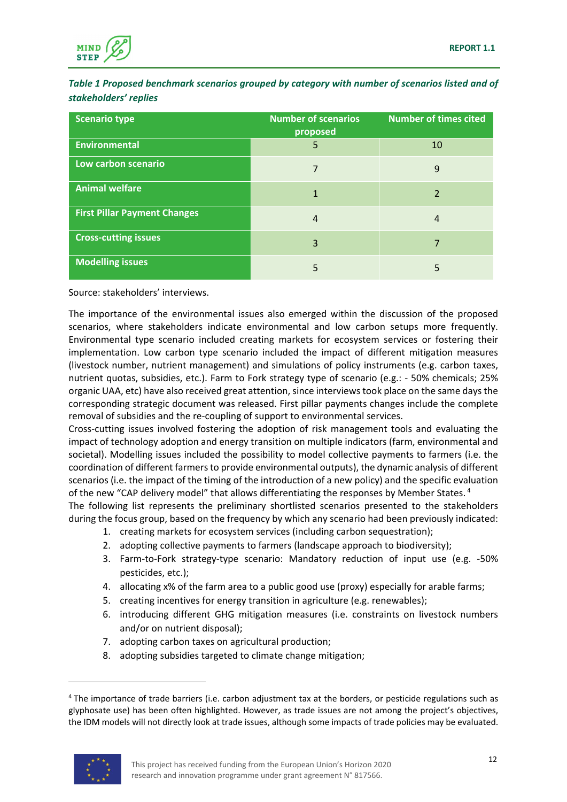

*Table 1 Proposed benchmark scenarios grouped by category with number of scenarios listed and of stakeholders' replies*

| <b>Scenario type</b>                | <b>Number of scenarios</b><br>proposed | <b>Number of times cited</b> |
|-------------------------------------|----------------------------------------|------------------------------|
| <b>Environmental</b>                | 5                                      | 10                           |
| Low carbon scenario                 |                                        | 9                            |
| <b>Animal welfare</b>               |                                        | $\overline{2}$               |
| <b>First Pillar Payment Changes</b> | 4                                      | 4                            |
| <b>Cross-cutting issues</b>         | 3                                      |                              |
| <b>Modelling issues</b>             | 5                                      |                              |

Source: stakeholders' interviews.

The importance of the environmental issues also emerged within the discussion of the proposed scenarios, where stakeholders indicate environmental and low carbon setups more frequently. Environmental type scenario included creating markets for ecosystem services or fostering their implementation. Low carbon type scenario included the impact of different mitigation measures (livestock number, nutrient management) and simulations of policy instruments (e.g. carbon taxes, nutrient quotas, subsidies, etc.). Farm to Fork strategy type of scenario (e.g.: ‐ 50% chemicals; 25% organic UAA, etc) have also received great attention, since interviewstook place on the same daysthe corresponding strategic document was released. First pillar payments changes include the complete removal of subsidies and the re‐coupling of support to environmental services.

Cross‐cutting issues involved fostering the adoption of risk management tools and evaluating the impact of technology adoption and energy transition on multiple indicators (farm, environmental and societal). Modelling issues included the possibility to model collective payments to farmers (i.e. the coordination of different farmersto provide environmental outputs), the dynamic analysis of different scenarios (i.e. the impact of the timing of the introduction of a new policy) and the specific evaluation of the new "CAP delivery model" that allows differentiating the responses by Member States.<sup>4</sup>

The following list represents the preliminary shortlisted scenarios presented to the stakeholders during the focus group, based on the frequency by which any scenario had been previously indicated:

- 1. creating markets for ecosystem services (including carbon sequestration);
- 2. adopting collective payments to farmers (landscape approach to biodiversity);
- 3. Farm‐to‐Fork strategy‐type scenario: Mandatory reduction of input use (e.g. ‐50% pesticides, etc.);
- 4. allocating x% of the farm area to a public good use (proxy) especially for arable farms;
- 5. creating incentives for energy transition in agriculture (e.g. renewables);
- 6. introducing different GHG mitigation measures (i.e. constraints on livestock numbers and/or on nutrient disposal);
- 7. adopting carbon taxes on agricultural production;
- 8. adopting subsidies targeted to climate change mitigation;

<sup>&</sup>lt;sup>4</sup> The importance of trade barriers (i.e. carbon adjustment tax at the borders, or pesticide regulations such as glyphosate use) has been often highlighted. However, as trade issues are not among the project's objectives, the IDM models will not directly look at trade issues, although some impacts of trade policies may be evaluated.

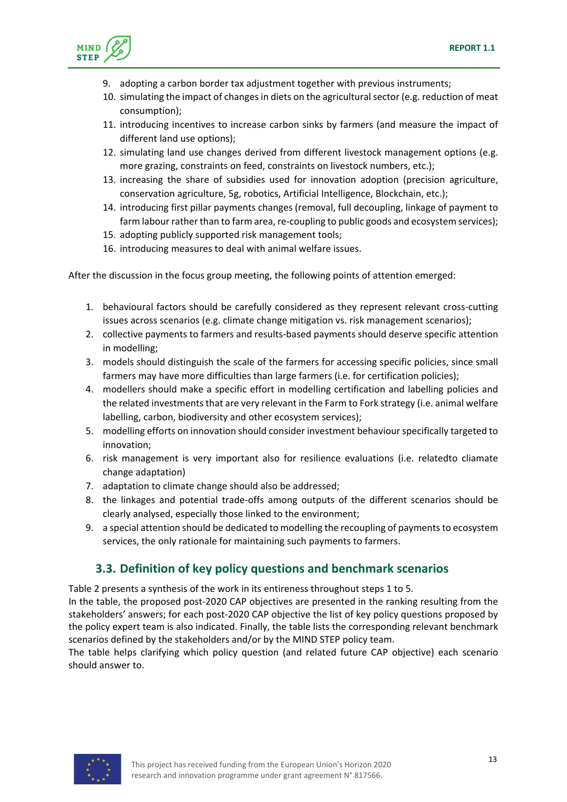

- 9. adopting a carbon border tax adjustment together with previous instruments;
- 10. simulating the impact of changes in diets on the agricultural sector (e.g. reduction of meat consumption);
- 11. introducing incentives to increase carbon sinks by farmers (and measure the impact of different land use options);
- 12. simulating land use changes derived from different livestock management options (e.g. more grazing, constraints on feed, constraints on livestock numbers, etc.);
- 13. increasing the share of subsidies used for innovation adoption (precision agriculture, conservation agriculture, 5g, robotics, Artificial Intelligence, Blockchain, etc.);
- 14. introducing first pillar payments changes (removal, full decoupling, linkage of payment to farm labour rather than to farm area, re-coupling to public goods and ecosystem services);
- 15. adopting publicly supported risk management tools;
- 16. introducing measures to deal with animal welfare issues.

After the discussion in the focus group meeting, the following points of attention emerged:

- 1. behavioural factors should be carefully considered as they represent relevant cross-cutting issues across scenarios (e.g. climate change mitigation vs. risk management scenarios);
- 2. collective payments to farmers and results-based payments should deserve specific attention in modelling;
- 3. models should distinguish the scale of the farmers for accessing specific policies, since small farmers may have more difficulties than large farmers (i.e. for certification policies);
- 4. modellers should make a specific effort in modelling certification and labelling policies and the related investments that are very relevant in the Farm to Fork strategy (i.e. animal welfare labelling, carbon, biodiversity and other ecosystem services);
- 5. modelling efforts on innovation should consider investment behaviour specifically targeted to innovation;
- 6. risk management is very important also for resilience evaluations (i.e. relatedto cliamate change adaptation)
- 7. adaptation to climate change should also be addressed;
- 8. the linkages and potential trade‐offs among outputs of the different scenarios should be clearly analysed, especially those linked to the environment;
- 9. a special attention should be dedicated to modelling the recoupling of payments to ecosystem services, the only rationale for maintaining such payments to farmers.

### **3.3. Definition of key policy questions and benchmark scenarios**

Table 2 presents a synthesis of the work in its entireness throughout steps 1 to 5.

In the table, the proposed post‐2020 CAP objectives are presented in the ranking resulting from the stakeholders' answers; for each post‐2020 CAP objective the list of key policy questions proposed by the policy expert team is also indicated. Finally, the table lists the corresponding relevant benchmark scenarios defined by the stakeholders and/or by the MIND STEP policy team.

The table helps clarifying which policy question (and related future CAP objective) each scenario should answer to.

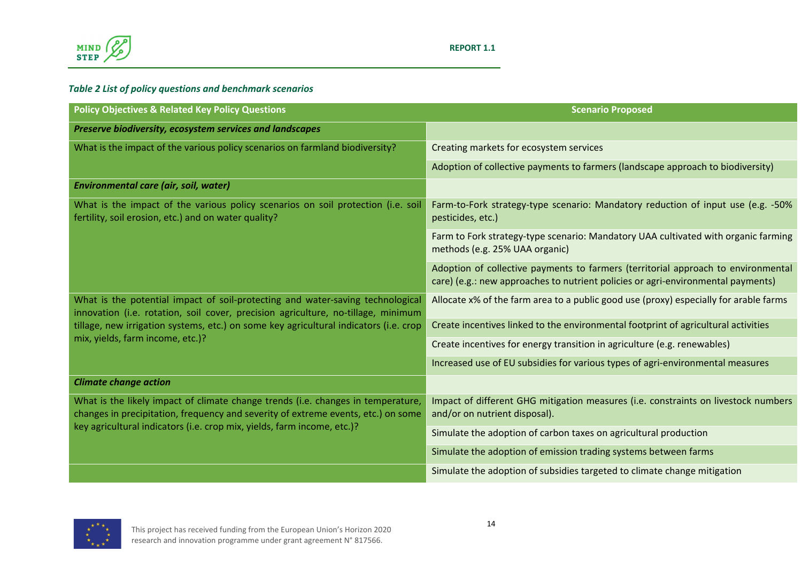

#### *Table 2 List of policy questions and benchmark scenarios*

| <b>Policy Objectives &amp; Related Key Policy Questions</b>                                                                                                           | <b>Scenario Proposed</b>                                                                                                                                              |
|-----------------------------------------------------------------------------------------------------------------------------------------------------------------------|-----------------------------------------------------------------------------------------------------------------------------------------------------------------------|
| Preserve biodiversity, ecosystem services and landscapes                                                                                                              |                                                                                                                                                                       |
| What is the impact of the various policy scenarios on farmland biodiversity?                                                                                          | Creating markets for ecosystem services                                                                                                                               |
|                                                                                                                                                                       | Adoption of collective payments to farmers (landscape approach to biodiversity)                                                                                       |
| Environmental care (air, soil, water)                                                                                                                                 |                                                                                                                                                                       |
| What is the impact of the various policy scenarios on soil protection (i.e. soil<br>fertility, soil erosion, etc.) and on water quality?                              | Farm-to-Fork strategy-type scenario: Mandatory reduction of input use (e.g. -50%<br>pesticides, etc.)                                                                 |
|                                                                                                                                                                       | Farm to Fork strategy-type scenario: Mandatory UAA cultivated with organic farming<br>methods (e.g. 25% UAA organic)                                                  |
|                                                                                                                                                                       | Adoption of collective payments to farmers (territorial approach to environmental<br>care) (e.g.: new approaches to nutrient policies or agri-environmental payments) |
| What is the potential impact of soil-protecting and water-saving technological<br>innovation (i.e. rotation, soil cover, precision agriculture, no-tillage, minimum   | Allocate x% of the farm area to a public good use (proxy) especially for arable farms                                                                                 |
| tillage, new irrigation systems, etc.) on some key agricultural indicators (i.e. crop<br>mix, yields, farm income, etc.)?                                             | Create incentives linked to the environmental footprint of agricultural activities                                                                                    |
|                                                                                                                                                                       | Create incentives for energy transition in agriculture (e.g. renewables)                                                                                              |
|                                                                                                                                                                       | Increased use of EU subsidies for various types of agri-environmental measures                                                                                        |
| <b>Climate change action</b>                                                                                                                                          |                                                                                                                                                                       |
| What is the likely impact of climate change trends (i.e. changes in temperature,<br>changes in precipitation, frequency and severity of extreme events, etc.) on some | Impact of different GHG mitigation measures (i.e. constraints on livestock numbers<br>and/or on nutrient disposal).                                                   |
| key agricultural indicators (i.e. crop mix, yields, farm income, etc.)?                                                                                               | Simulate the adoption of carbon taxes on agricultural production                                                                                                      |
|                                                                                                                                                                       | Simulate the adoption of emission trading systems between farms                                                                                                       |
|                                                                                                                                                                       | Simulate the adoption of subsidies targeted to climate change mitigation                                                                                              |

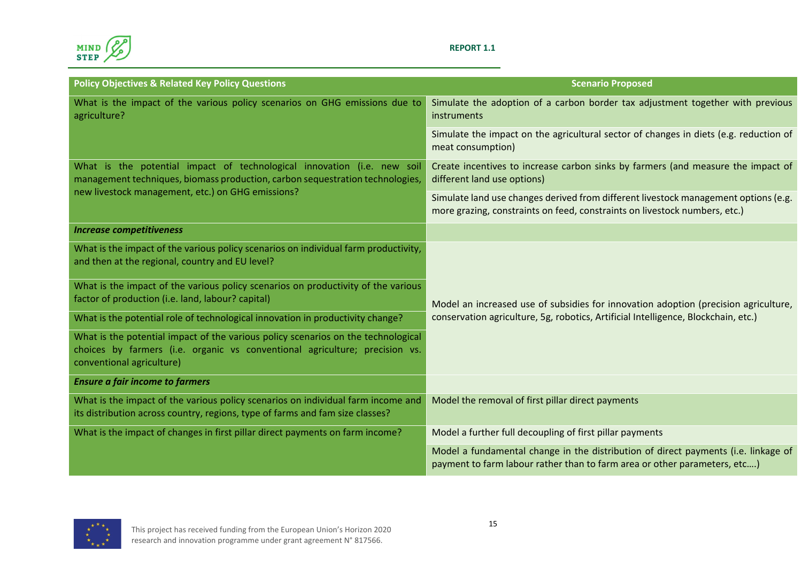

#### **REPORT 1.1**

| <b>Policy Objectives &amp; Related Key Policy Questions</b>                                                                                                                                   | <b>Scenario Proposed</b>                                                                                                                                          |  |
|-----------------------------------------------------------------------------------------------------------------------------------------------------------------------------------------------|-------------------------------------------------------------------------------------------------------------------------------------------------------------------|--|
| What is the impact of the various policy scenarios on GHG emissions due to<br>agriculture?                                                                                                    | Simulate the adoption of a carbon border tax adjustment together with previous<br>instruments                                                                     |  |
|                                                                                                                                                                                               | Simulate the impact on the agricultural sector of changes in diets (e.g. reduction of<br>meat consumption)                                                        |  |
| What is the potential impact of technological innovation (i.e. new soil<br>management techniques, biomass production, carbon sequestration technologies,                                      | Create incentives to increase carbon sinks by farmers (and measure the impact of<br>different land use options)                                                   |  |
| new livestock management, etc.) on GHG emissions?                                                                                                                                             | Simulate land use changes derived from different livestock management options (e.g.<br>more grazing, constraints on feed, constraints on livestock numbers, etc.) |  |
| <b>Increase competitiveness</b>                                                                                                                                                               |                                                                                                                                                                   |  |
| What is the impact of the various policy scenarios on individual farm productivity,<br>and then at the regional, country and EU level?                                                        |                                                                                                                                                                   |  |
| What is the impact of the various policy scenarios on productivity of the various<br>factor of production (i.e. land, labour? capital)                                                        | Model an increased use of subsidies for innovation adoption (precision agriculture,                                                                               |  |
| What is the potential role of technological innovation in productivity change?                                                                                                                | conservation agriculture, 5g, robotics, Artificial Intelligence, Blockchain, etc.)                                                                                |  |
| What is the potential impact of the various policy scenarios on the technological<br>choices by farmers (i.e. organic vs conventional agriculture; precision vs.<br>conventional agriculture) |                                                                                                                                                                   |  |
| <b>Ensure a fair income to farmers</b>                                                                                                                                                        |                                                                                                                                                                   |  |
| What is the impact of the various policy scenarios on individual farm income and<br>its distribution across country, regions, type of farms and fam size classes?                             | Model the removal of first pillar direct payments                                                                                                                 |  |
| What is the impact of changes in first pillar direct payments on farm income?                                                                                                                 | Model a further full decoupling of first pillar payments                                                                                                          |  |
|                                                                                                                                                                                               | Model a fundamental change in the distribution of direct payments (i.e. linkage of<br>payment to farm labour rather than to farm area or other parameters, etc)   |  |

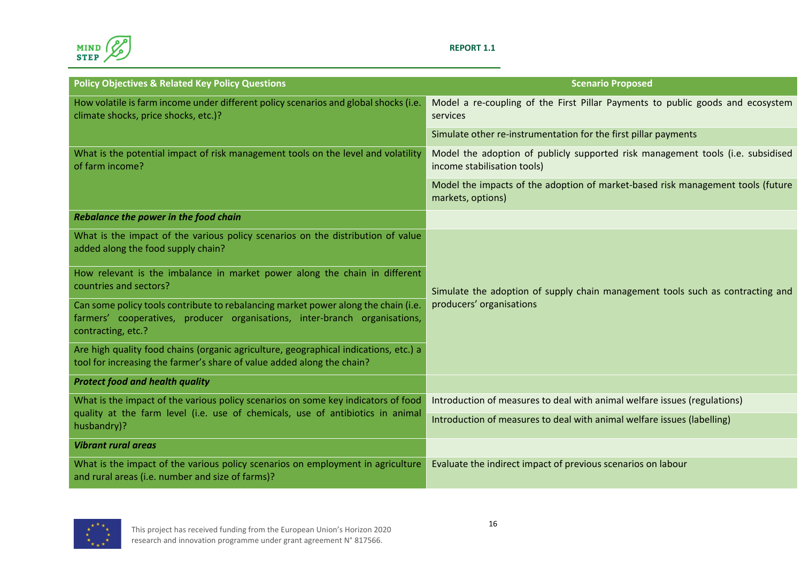

#### **REPORT 1.1**

| <b>Policy Objectives &amp; Related Key Policy Questions</b>                                                                                                                            | <b>Scenario Proposed</b>                                                                                       |  |  |
|----------------------------------------------------------------------------------------------------------------------------------------------------------------------------------------|----------------------------------------------------------------------------------------------------------------|--|--|
| How volatile is farm income under different policy scenarios and global shocks (i.e.<br>climate shocks, price shocks, etc.)?                                                           | Model a re-coupling of the First Pillar Payments to public goods and ecosystem<br>services                     |  |  |
|                                                                                                                                                                                        | Simulate other re-instrumentation for the first pillar payments                                                |  |  |
| What is the potential impact of risk management tools on the level and volatility<br>of farm income?                                                                                   | Model the adoption of publicly supported risk management tools (i.e. subsidised<br>income stabilisation tools) |  |  |
|                                                                                                                                                                                        | Model the impacts of the adoption of market-based risk management tools (future<br>markets, options)           |  |  |
| Rebalance the power in the food chain                                                                                                                                                  |                                                                                                                |  |  |
| What is the impact of the various policy scenarios on the distribution of value<br>added along the food supply chain?                                                                  |                                                                                                                |  |  |
| How relevant is the imbalance in market power along the chain in different<br>countries and sectors?                                                                                   | Simulate the adoption of supply chain management tools such as contracting and                                 |  |  |
| Can some policy tools contribute to rebalancing market power along the chain (i.e.<br>farmers' cooperatives, producer organisations, inter-branch organisations,<br>contracting, etc.? | producers' organisations                                                                                       |  |  |
| Are high quality food chains (organic agriculture, geographical indications, etc.) a<br>tool for increasing the farmer's share of value added along the chain?                         |                                                                                                                |  |  |
| <b>Protect food and health quality</b>                                                                                                                                                 |                                                                                                                |  |  |
| What is the impact of the various policy scenarios on some key indicators of food                                                                                                      | Introduction of measures to deal with animal welfare issues (regulations)                                      |  |  |
| quality at the farm level (i.e. use of chemicals, use of antibiotics in animal<br>husbandry)?                                                                                          | Introduction of measures to deal with animal welfare issues (labelling)                                        |  |  |
| <b>Vibrant rural areas</b>                                                                                                                                                             |                                                                                                                |  |  |
| What is the impact of the various policy scenarios on employment in agriculture<br>and rural areas (i.e. number and size of farms)?                                                    | Evaluate the indirect impact of previous scenarios on labour                                                   |  |  |

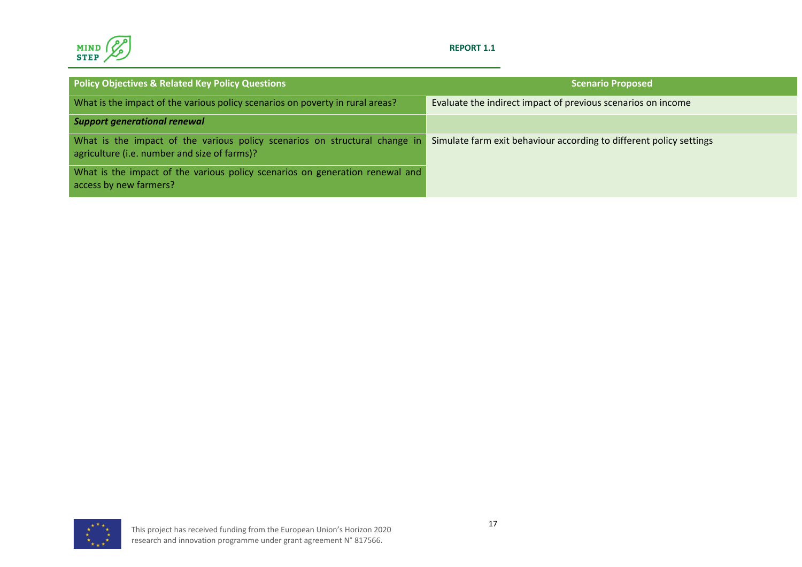

#### **REPORT 1.1**

| <b>Policy Objectives &amp; Related Key Policy Questions</b>                                                                | <b>Scenario Proposed</b>                                            |
|----------------------------------------------------------------------------------------------------------------------------|---------------------------------------------------------------------|
| What is the impact of the various policy scenarios on poverty in rural areas?                                              | Evaluate the indirect impact of previous scenarios on income        |
| <b>Support generational renewal</b>                                                                                        |                                                                     |
| What is the impact of the various policy scenarios on structural change in<br>agriculture (i.e. number and size of farms)? | Simulate farm exit behaviour according to different policy settings |
| What is the impact of the various policy scenarios on generation renewal and<br>access by new farmers?                     |                                                                     |

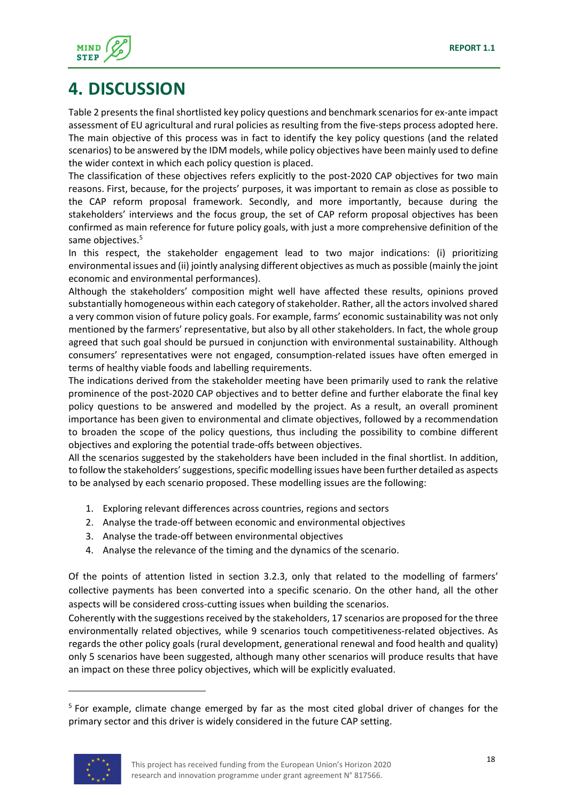

# **4. DISCUSSION**

Table 2 presents the final shortlisted key policy questions and benchmark scenarios for ex-ante impact assessment of EU agricultural and rural policies as resulting from the five‐steps process adopted here. The main objective of this process was in fact to identify the key policy questions (and the related scenarios) to be answered by the IDM models, while policy objectives have been mainly used to define the wider context in which each policy question is placed.

The classification of these objectives refers explicitly to the post-2020 CAP objectives for two main reasons. First, because, for the projects' purposes, it was important to remain as close as possible to the CAP reform proposal framework. Secondly, and more importantly, because during the stakeholders' interviews and the focus group, the set of CAP reform proposal objectives has been confirmed as main reference for future policy goals, with just a more comprehensive definition of the same objectives.<sup>5</sup>

In this respect, the stakeholder engagement lead to two major indications: (i) prioritizing environmental issues and (ii) jointly analysing different objectives as much as possible (mainly the joint economic and environmental performances).

Although the stakeholders' composition might well have affected these results, opinions proved substantially homogeneous within each category of stakeholder. Rather, all the actors involved shared a very common vision of future policy goals. For example, farms' economic sustainability was not only mentioned by the farmers' representative, but also by all other stakeholders. In fact, the whole group agreed that such goal should be pursued in conjunction with environmental sustainability. Although consumers' representatives were not engaged, consumption‐related issues have often emerged in terms of healthy viable foods and labelling requirements.

The indications derived from the stakeholder meeting have been primarily used to rank the relative prominence of the post‐2020 CAP objectives and to better define and further elaborate the final key policy questions to be answered and modelled by the project. As a result, an overall prominent importance has been given to environmental and climate objectives, followed by a recommendation to broaden the scope of the policy questions, thus including the possibility to combine different objectives and exploring the potential trade‐offs between objectives.

All the scenarios suggested by the stakeholders have been included in the final shortlist. In addition, to follow the stakeholders' suggestions, specific modelling issues have been further detailed as aspects to be analysed by each scenario proposed. These modelling issues are the following:

- 1. Exploring relevant differences across countries, regions and sectors
- 2. Analyse the trade‐off between economic and environmental objectives
- 3. Analyse the trade‐off between environmental objectives
- 4. Analyse the relevance of the timing and the dynamics of the scenario.

Of the points of attention listed in section 3.2.3, only that related to the modelling of farmers' collective payments has been converted into a specific scenario. On the other hand, all the other aspects will be considered cross‐cutting issues when building the scenarios.

Coherently with the suggestions received by the stakeholders, 17 scenarios are proposed for the three environmentally related objectives, while 9 scenarios touch competitiveness-related objectives. As regards the other policy goals (rural development, generational renewal and food health and quality) only 5 scenarios have been suggested, although many other scenarios will produce results that have an impact on these three policy objectives, which will be explicitly evaluated.

<sup>&</sup>lt;sup>5</sup> For example, climate change emerged by far as the most cited global driver of changes for the primary sector and this driver is widely considered in the future CAP setting.

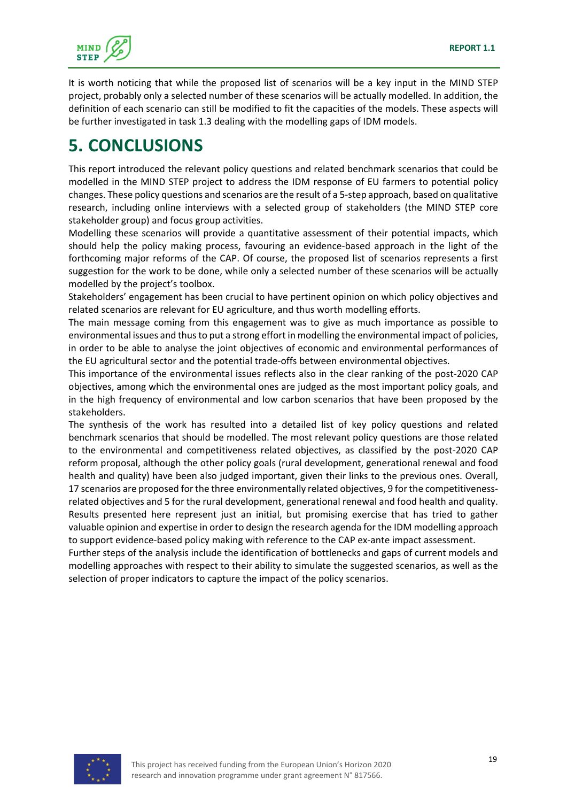

It is worth noticing that while the proposed list of scenarios will be a key input in the MIND STEP project, probably only a selected number of these scenarios will be actually modelled. In addition, the definition of each scenario can still be modified to fit the capacities of the models. These aspects will be further investigated in task 1.3 dealing with the modelling gaps of IDM models.

# **5. CONCLUSIONS**

This report introduced the relevant policy questions and related benchmark scenarios that could be modelled in the MIND STEP project to address the IDM response of EU farmers to potential policy changes. These policy questions and scenarios are the result of a 5‐step approach, based on qualitative research, including online interviews with a selected group of stakeholders (the MIND STEP core stakeholder group) and focus group activities.

Modelling these scenarios will provide a quantitative assessment of their potential impacts, which should help the policy making process, favouring an evidence-based approach in the light of the forthcoming major reforms of the CAP. Of course, the proposed list of scenarios represents a first suggestion for the work to be done, while only a selected number of these scenarios will be actually modelled by the project's toolbox.

Stakeholders' engagement has been crucial to have pertinent opinion on which policy objectives and related scenarios are relevant for EU agriculture, and thus worth modelling efforts.

The main message coming from this engagement was to give as much importance as possible to environmental issues and thusto put a strong effort in modelling the environmental impact of policies, in order to be able to analyse the joint objectives of economic and environmental performances of the EU agricultural sector and the potential trade‐offs between environmental objectives.

This importance of the environmental issues reflects also in the clear ranking of the post‐2020 CAP objectives, among which the environmental ones are judged as the most important policy goals, and in the high frequency of environmental and low carbon scenarios that have been proposed by the stakeholders.

The synthesis of the work has resulted into a detailed list of key policy questions and related benchmark scenarios that should be modelled. The most relevant policy questions are those related to the environmental and competitiveness related objectives, as classified by the post‐2020 CAP reform proposal, although the other policy goals (rural development, generational renewal and food health and quality) have been also judged important, given their links to the previous ones. Overall, 17 scenarios are proposed for the three environmentally related objectives, 9 for the competitiveness‐ related objectives and 5 for the rural development, generational renewal and food health and quality. Results presented here represent just an initial, but promising exercise that has tried to gather valuable opinion and expertise in order to design the research agenda for the IDM modelling approach to support evidence-based policy making with reference to the CAP ex-ante impact assessment.

Further steps of the analysis include the identification of bottlenecks and gaps of current models and modelling approaches with respect to their ability to simulate the suggested scenarios, as well as the selection of proper indicators to capture the impact of the policy scenarios.

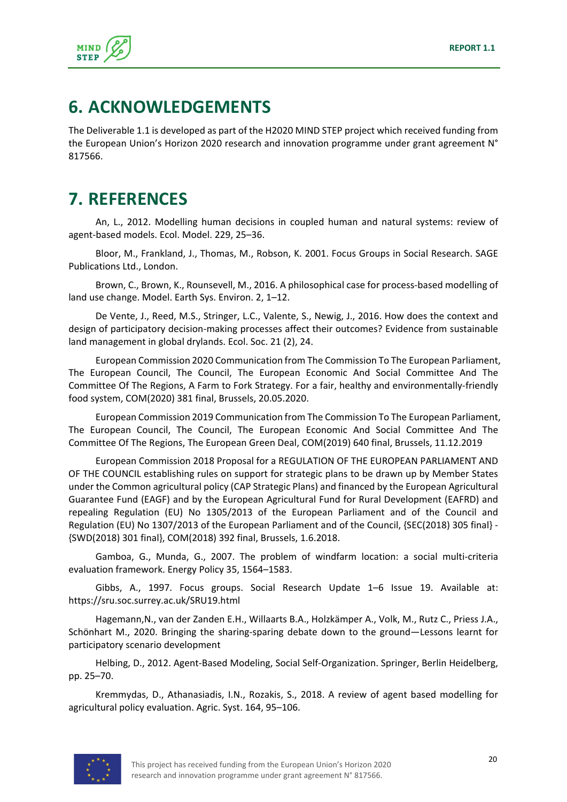

### **6. ACKNOWLEDGEMENTS**

The Deliverable 1.1 is developed as part of the H2020 MIND STEP project which received funding from the European Union's Horizon 2020 research and innovation programme under grant agreement N° 817566.

## **7. REFERENCES**

An, L., 2012. Modelling human decisions in coupled human and natural systems: review of agent‐based models. Ecol. Model. 229, 25–36.

Bloor, M., Frankland, J., Thomas, M., Robson, K. 2001. Focus Groups in Social Research. SAGE Publications Ltd., London.

Brown, C., Brown, K., Rounsevell, M., 2016. A philosophical case for process-based modelling of land use change. Model. Earth Sys. Environ. 2, 1–12.

De Vente, J., Reed, M.S., Stringer, L.C., Valente, S., Newig, J., 2016. How does the context and design of participatory decision‐making processes affect their outcomes? Evidence from sustainable land management in global drylands. Ecol. Soc. 21 (2), 24.

European Commission 2020 Communication from The Commission To The European Parliament, The European Council, The Council, The European Economic And Social Committee And The Committee Of The Regions, A Farm to Fork Strategy. For a fair, healthy and environmentally‐friendly food system, COM(2020) 381 final, Brussels, 20.05.2020.

European Commission 2019 Communication from The Commission To The European Parliament, The European Council, The Council, The European Economic And Social Committee And The Committee Of The Regions, The European Green Deal, COM(2019) 640 final, Brussels, 11.12.2019

European Commission 2018 Proposal for a REGULATION OF THE EUROPEAN PARLIAMENT AND OF THE COUNCIL establishing rules on support for strategic plans to be drawn up by Member States under the Common agricultural policy (CAP Strategic Plans) and financed by the European Agricultural Guarantee Fund (EAGF) and by the European Agricultural Fund for Rural Development (EAFRD) and repealing Regulation (EU) No 1305/2013 of the European Parliament and of the Council and Regulation (EU) No 1307/2013 of the European Parliament and of the Council, {SEC(2018) 305 final} -{SWD(2018) 301 final}, COM(2018) 392 final, Brussels, 1.6.2018.

Gamboa, G., Munda, G., 2007. The problem of windfarm location: a social multi‐criteria evaluation framework. Energy Policy 35, 1564–1583.

Gibbs, A., 1997. Focus groups. Social Research Update 1–6 Issue 19. Available at: https://sru.soc.surrey.ac.uk/SRU19.html

Hagemann,N., van der Zanden E.H., Willaarts B.A., Holzkämper A., Volk, M., Rutz C., Priess J.A., Schönhart M., 2020. Bringing the sharing‐sparing debate down to the ground—Lessons learnt for participatory scenario development

Helbing, D., 2012. Agent‐Based Modeling, Social Self‐Organization. Springer, Berlin Heidelberg, pp. 25–70.

Kremmydas, D., Athanasiadis, I.N., Rozakis, S., 2018. A review of agent based modelling for agricultural policy evaluation. Agric. Syst. 164, 95–106.

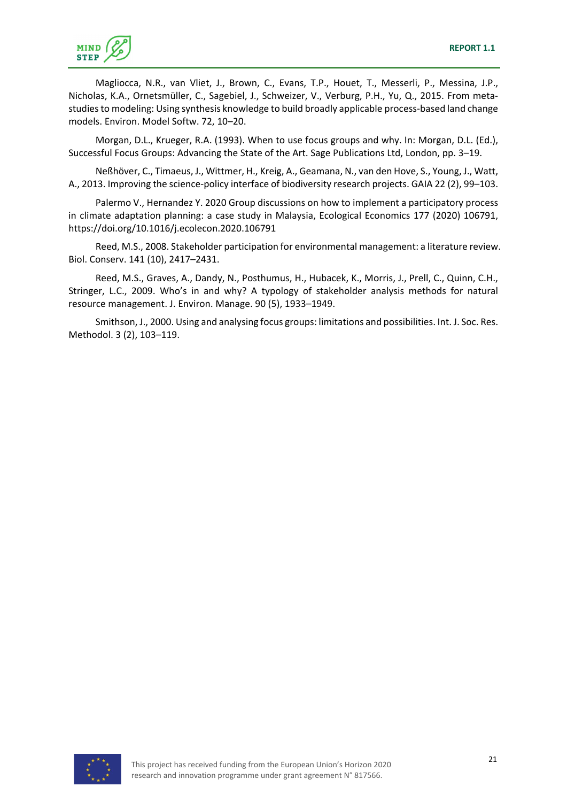

Magliocca, N.R., van Vliet, J., Brown, C., Evans, T.P., Houet, T., Messerli, P., Messina, J.P., Nicholas, K.A., Ornetsmüller, C., Sagebiel, J., Schweizer, V., Verburg, P.H., Yu, Q., 2015. From meta‐ studies to modeling: Using synthesis knowledge to build broadly applicable process-based land change models. Environ. Model Softw. 72, 10–20.

Morgan, D.L., Krueger, R.A. (1993). When to use focus groups and why. In: Morgan, D.L. (Ed.), Successful Focus Groups: Advancing the State of the Art. Sage Publications Ltd, London, pp. 3–19.

Neßhöver, C., Timaeus, J., Wittmer, H., Kreig, A., Geamana, N., van den Hove, S., Young, J., Watt, A., 2013. Improving the science-policy interface of biodiversity research projects. GAIA 22 (2), 99–103.

Palermo V., Hernandez Y. 2020 Group discussions on how to implement a participatory process in climate adaptation planning: a case study in Malaysia, Ecological Economics 177 (2020) 106791, https://doi.org/10.1016/j.ecolecon.2020.106791

Reed, M.S., 2008. Stakeholder participation for environmental management: a literature review. Biol. Conserv. 141 (10), 2417–2431.

Reed, M.S., Graves, A., Dandy, N., Posthumus, H., Hubacek, K., Morris, J., Prell, C., Quinn, C.H., Stringer, L.C., 2009. Who's in and why? A typology of stakeholder analysis methods for natural resource management. J. Environ. Manage. 90 (5), 1933–1949.

Smithson, J., 2000. Using and analysing focus groups: limitations and possibilities. Int. J. Soc. Res. Methodol. 3 (2), 103–119.

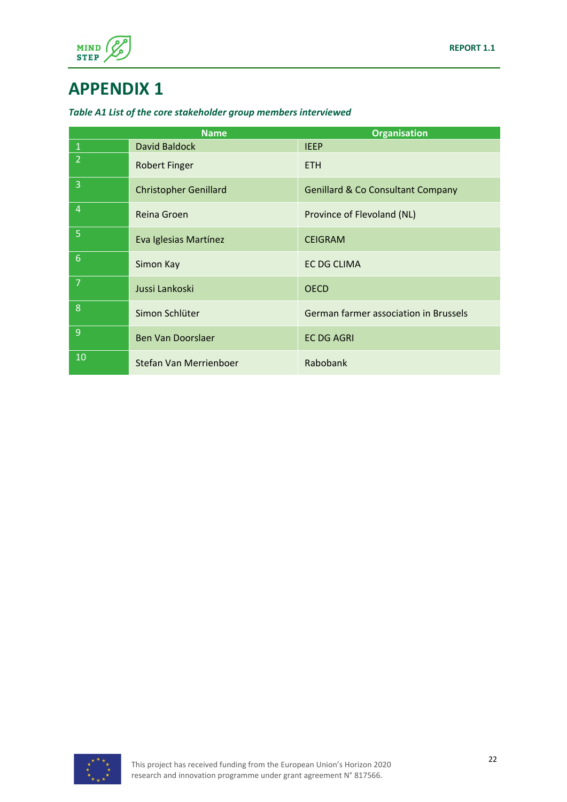

## **APPENDIX 1**

#### *Table A1 List of the core stakeholder group members interviewed*

|                | <b>Name</b>                  | <b>Organisation</b>                          |
|----------------|------------------------------|----------------------------------------------|
| $\mathbf{1}$   | David Baldock                | <b>IEEP</b>                                  |
| $\overline{2}$ | <b>Robert Finger</b>         | <b>ETH</b>                                   |
| $\overline{3}$ | <b>Christopher Genillard</b> | <b>Genillard &amp; Co Consultant Company</b> |
| $\overline{4}$ | Reina Groen                  | Province of Flevoland (NL)                   |
| 5              | Eva Iglesias Martínez        | <b>CEIGRAM</b>                               |
| $\overline{6}$ | Simon Kay                    | EC DG CLIMA                                  |
| 7              | Jussi Lankoski               | <b>OECD</b>                                  |
| 8              | Simon Schlüter               | German farmer association in Brussels        |
| 9              | <b>Ben Van Doorslaer</b>     | <b>EC DG AGRI</b>                            |
| 10             | Stefan Van Merrienboer       | Rabobank                                     |

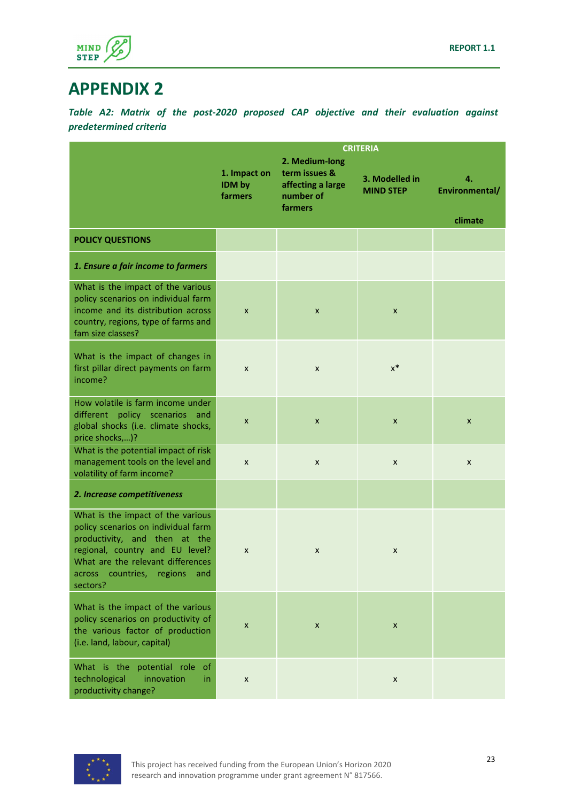

### **APPENDIX 2**

*Table A2: Matrix of the post‐2020 proposed CAP objective and their evaluation against predetermined criteria*

|                                                                                                                                                                                                                                         | <b>CRITERIA</b>                   |                                                                              |                                    |                                 |
|-----------------------------------------------------------------------------------------------------------------------------------------------------------------------------------------------------------------------------------------|-----------------------------------|------------------------------------------------------------------------------|------------------------------------|---------------------------------|
|                                                                                                                                                                                                                                         | 1. Impact on<br>IDM by<br>farmers | 2. Medium-long<br>term issues &<br>affecting a large<br>number of<br>farmers | 3. Modelled in<br><b>MIND STEP</b> | 4.<br>Environmental/<br>climate |
| <b>POLICY QUESTIONS</b>                                                                                                                                                                                                                 |                                   |                                                                              |                                    |                                 |
| 1. Ensure a fair income to farmers                                                                                                                                                                                                      |                                   |                                                                              |                                    |                                 |
| What is the impact of the various<br>policy scenarios on individual farm<br>income and its distribution across<br>country, regions, type of farms and<br>fam size classes?                                                              | $\pmb{\mathsf{x}}$                | X                                                                            | X                                  |                                 |
| What is the impact of changes in<br>first pillar direct payments on farm<br>income?                                                                                                                                                     | X                                 | X                                                                            | $x^*$                              |                                 |
| How volatile is farm income under<br>different policy scenarios<br>and<br>global shocks (i.e. climate shocks,<br>price shocks,)?                                                                                                        | X                                 | $\boldsymbol{\mathsf{x}}$                                                    | $\boldsymbol{x}$                   | $\boldsymbol{x}$                |
| What is the potential impact of risk<br>management tools on the level and<br>volatility of farm income?                                                                                                                                 | $\pmb{\times}$                    | X                                                                            | X                                  | X                               |
| 2. Increase competitiveness                                                                                                                                                                                                             |                                   |                                                                              |                                    |                                 |
| What is the impact of the various<br>policy scenarios on individual farm<br>productivity, and then at the<br>regional, country and EU level?<br>What are the relevant differences<br>countries,<br>regions<br>across<br>and<br>sectors? | X                                 | X                                                                            | X                                  |                                 |
| What is the impact of the various<br>policy scenarios on productivity of<br>the various factor of production<br>(i.e. land, labour, capital)                                                                                            | $\pmb{\mathsf{x}}$                | $\pmb{\mathsf{x}}$                                                           | X                                  |                                 |
| What is the potential role<br><sub>of</sub><br>innovation<br>technological<br>in.<br>productivity change?                                                                                                                               | X                                 |                                                                              | X                                  |                                 |

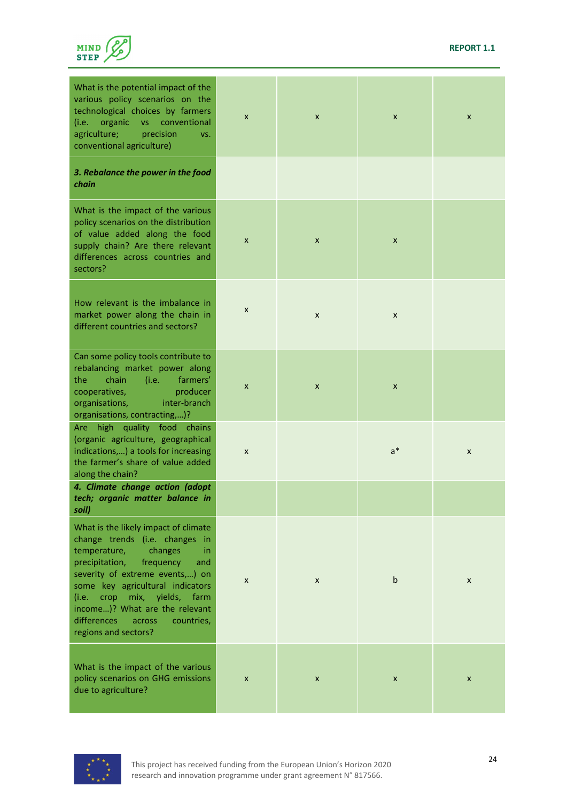

| What is the potential impact of the<br>various policy scenarios on the<br>technological choices by farmers<br>organic<br>conventional<br>(i.e.<br>VS -<br>agriculture;<br>precision<br>VS.<br>conventional agriculture)                                                                                                                                             | X | $\pmb{\mathsf{x}}$ | X            | X |
|---------------------------------------------------------------------------------------------------------------------------------------------------------------------------------------------------------------------------------------------------------------------------------------------------------------------------------------------------------------------|---|--------------------|--------------|---|
| 3. Rebalance the power in the food<br>chain                                                                                                                                                                                                                                                                                                                         |   |                    |              |   |
| What is the impact of the various<br>policy scenarios on the distribution<br>of value added along the food<br>supply chain? Are there relevant<br>differences across countries and<br>sectors?                                                                                                                                                                      | X | X                  | X            |   |
| How relevant is the imbalance in<br>market power along the chain in<br>different countries and sectors?                                                                                                                                                                                                                                                             | X | X                  | X            |   |
| Can some policy tools contribute to<br>rebalancing market power along<br>chain<br>(i.e.<br>farmers'<br>the<br>producer<br>cooperatives,<br>inter-branch<br>organisations,<br>organisations, contracting,)?                                                                                                                                                          | X | X                  | X            |   |
| Are high quality food chains<br>(organic agriculture, geographical<br>indications,) a tools for increasing<br>the farmer's share of value added<br>along the chain?                                                                                                                                                                                                 | X |                    | $a^*$        | X |
| 4. Climate change action (adopt<br>tech; organic matter balance in<br>soil)                                                                                                                                                                                                                                                                                         |   |                    |              |   |
| What is the likely impact of climate<br>change trends (i.e. changes in<br>temperature,<br>changes<br>in<br>precipitation,<br>frequency<br>and<br>severity of extreme events,) on<br>some key agricultural indicators<br>crop<br>mix,<br>yields,<br>(i.e. –<br>farm<br>income)? What are the relevant<br>differences<br>countries,<br>across<br>regions and sectors? | X | X                  | $\mathsf{b}$ | X |
| What is the impact of the various<br>policy scenarios on GHG emissions<br>due to agriculture?                                                                                                                                                                                                                                                                       | X | X                  | X            | X |

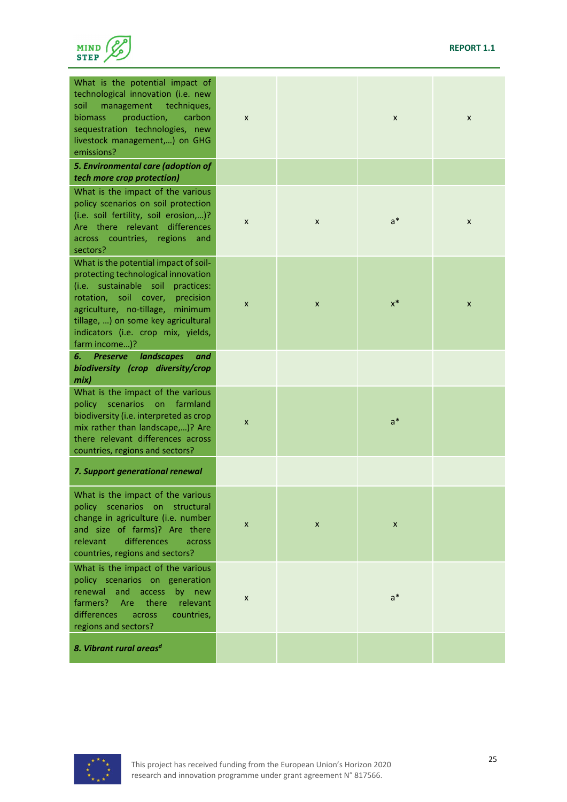

| What is the potential impact of<br>technological innovation (i.e. new<br>soil<br>management<br>techniques,<br>production,<br>biomass<br>carbon<br>sequestration technologies, new<br>livestock management,) on GHG<br>emissions?                                                                | X                         |   | X     | X |
|-------------------------------------------------------------------------------------------------------------------------------------------------------------------------------------------------------------------------------------------------------------------------------------------------|---------------------------|---|-------|---|
| 5. Environmental care (adoption of<br>tech more crop protection)                                                                                                                                                                                                                                |                           |   |       |   |
| What is the impact of the various<br>policy scenarios on soil protection<br>(i.e. soil fertility, soil erosion,)?<br>Are there relevant differences<br>countries, regions<br>across<br>and<br>sectors?                                                                                          | X                         | X | $a^*$ | X |
| What is the potential impact of soil-<br>protecting technological innovation<br>(i.e. sustainable soil<br>practices:<br>rotation, soil cover,<br>precision<br>agriculture, no-tillage,<br>minimum<br>tillage, ) on some key agricultural<br>indicators (i.e. crop mix, yields,<br>farm income)? | $\boldsymbol{\mathsf{x}}$ | X | $x^*$ | X |
| landscapes<br><b>Preserve</b><br>6.<br>and<br>biodiversity (crop diversity/crop<br>mix)                                                                                                                                                                                                         |                           |   |       |   |
| What is the impact of the various<br>scenarios<br>farmland<br>policy<br><b>on</b><br>biodiversity (i.e. interpreted as crop<br>mix rather than landscape,)? Are<br>there relevant differences across<br>countries, regions and sectors?                                                         | $\pmb{\times}$            |   | $a^*$ |   |
| 7. Support generational renewal                                                                                                                                                                                                                                                                 |                           |   |       |   |
| What is the impact of the various<br>policy scenarios on structural<br>change in agriculture (i.e. number<br>and size of farms)? Are there<br>differences<br>relevant<br>across<br>countries, regions and sectors?                                                                              | $\boldsymbol{\mathsf{x}}$ | X | X     |   |
| What is the impact of the various<br>policy scenarios on generation<br>access<br>renewal<br>and<br>by new<br>there<br>farmers?<br><b>Are</b><br>relevant<br>differences<br>countries,<br>across<br>regions and sectors?                                                                         | X                         |   | $a^*$ |   |
| 8. Vibrant rural areas <sup>d</sup>                                                                                                                                                                                                                                                             |                           |   |       |   |